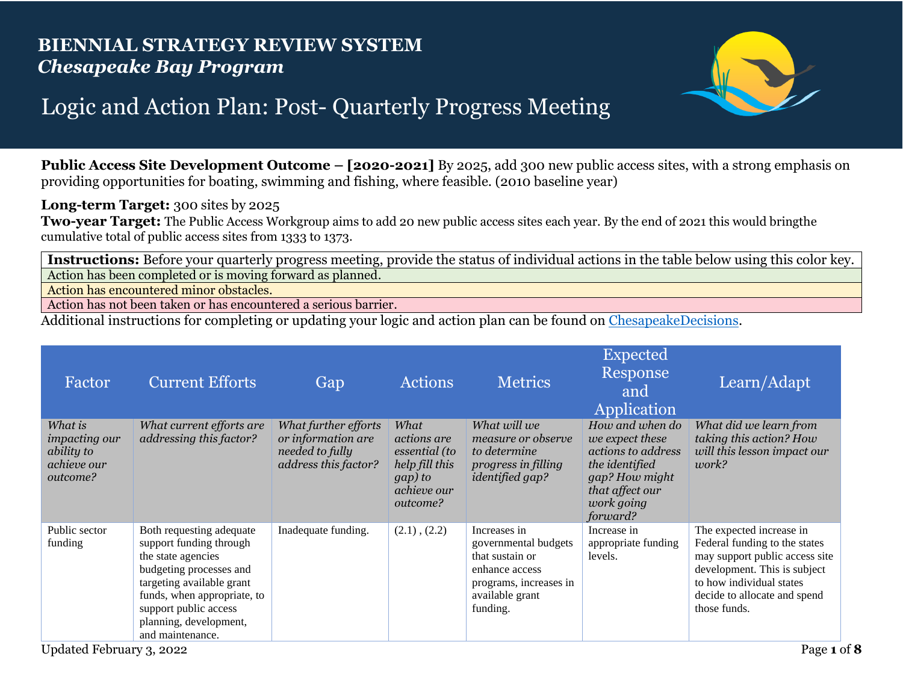## **BIENNIAL STRATEGY REVIEW SYSTEM** *Chesapeake Bay Program*



## Logic and Action Plan: Post- Quarterly Progress Meeting

**Public Access Site Development Outcome – [2020-2021]** By 2025, add 300 new public access sites, with a strong emphasis on providing opportunities for boating, swimming and fishing, where feasible. (2010 baseline year)

**Long-term Target:** 300 sites by 2025

**Two-year Target:** The Public Access Workgroup aims to add 20 new public access sites each year. By the end of 2021 this would bringthe cumulative total of public access sites from 1333 to 1373.

**Instructions:** Before your quarterly progress meeting, provide the status of individual actions in the table below using this color key. Action has been completed or is moving forward as planned.

Action has encountered minor obstacles.

Action has not been taken or has encountered a serious barrier.

Additional instructions for completing or updating your logic and action plan can be found on [ChesapeakeDecisions.](http://www.chesapeakebay.net/decisions/srs-guide)

| Factor                                                                   | <b>Current Efforts</b>                                                                                                                                                                                                                  | Gap                                                                                   | <b>Actions</b>                                                                                      | <b>Metrics</b>                                                                                                                     | <b>Expected</b><br>Response<br>and<br>Application                                                                                         | Learn/Adapt                                                                                                                                                                                             |
|--------------------------------------------------------------------------|-----------------------------------------------------------------------------------------------------------------------------------------------------------------------------------------------------------------------------------------|---------------------------------------------------------------------------------------|-----------------------------------------------------------------------------------------------------|------------------------------------------------------------------------------------------------------------------------------------|-------------------------------------------------------------------------------------------------------------------------------------------|---------------------------------------------------------------------------------------------------------------------------------------------------------------------------------------------------------|
| What is<br><i>impacting our</i><br>ability to<br>achieve our<br>outcome? | What current efforts are<br>addressing this factor?                                                                                                                                                                                     | What further efforts<br>or information are<br>needed to fully<br>address this factor? | What<br><i>actions are</i><br>essential (to<br>help fill this<br>gap) to<br>achieve our<br>outcome? | What will we<br>measure or observe<br>to determine<br>progress in filling<br><i>identified gap?</i>                                | How and when do<br>we expect these<br>actions to address<br>the identified<br>gap? How might<br>that affect our<br>work going<br>forward? | What did we learn from<br>taking this action? How<br>will this lesson impact our<br>work?                                                                                                               |
| Public sector<br>funding                                                 | Both requesting adequate<br>support funding through<br>the state agencies<br>budgeting processes and<br>targeting available grant<br>funds, when appropriate, to<br>support public access<br>planning, development,<br>and maintenance. | Inadequate funding.                                                                   | $(2.1)$ , $(2.2)$                                                                                   | Increases in<br>governmental budgets<br>that sustain or<br>enhance access<br>programs, increases in<br>available grant<br>funding. | Increase in<br>appropriate funding<br>levels.                                                                                             | The expected increase in<br>Federal funding to the states<br>may support public access site<br>development. This is subject<br>to how individual states<br>decide to allocate and spend<br>those funds. |
| Updated February 3, 2022                                                 |                                                                                                                                                                                                                                         |                                                                                       |                                                                                                     |                                                                                                                                    |                                                                                                                                           | Page 1 of 8                                                                                                                                                                                             |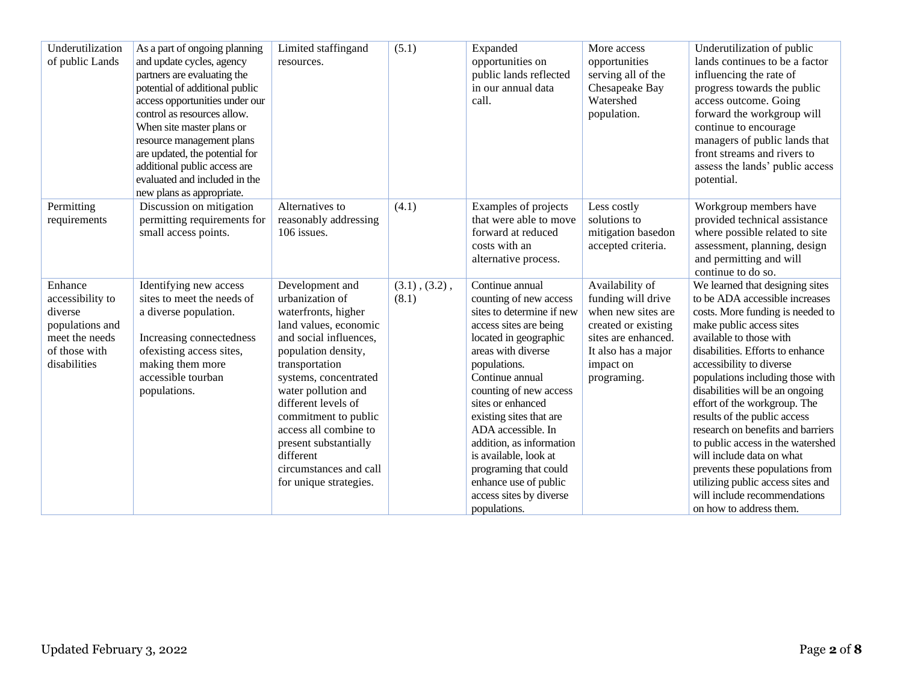| Underutilization<br>of public Lands                                                                          | As a part of ongoing planning<br>and update cycles, agency<br>partners are evaluating the<br>potential of additional public<br>access opportunities under our<br>control as resources allow.<br>When site master plans or<br>resource management plans<br>are updated, the potential for<br>additional public access are<br>evaluated and included in the<br>new plans as appropriate. | Limited staffingand<br>resources.                                                                                                                                                                                                                                                                                                                                       | (5.1)                        | Expanded<br>opportunities on<br>public lands reflected<br>in our annual data<br>call.                                                                                                                                                                                                                                                                                                                                                | More access<br>opportunities<br>serving all of the<br>Chesapeake Bay<br>Watershed<br>population.                                                             | Underutilization of public<br>lands continues to be a factor<br>influencing the rate of<br>progress towards the public<br>access outcome. Going<br>forward the workgroup will<br>continue to encourage<br>managers of public lands that<br>front streams and rivers to<br>assess the lands' public access<br>potential.                                                                                                                                                                                                                                                                                       |
|--------------------------------------------------------------------------------------------------------------|----------------------------------------------------------------------------------------------------------------------------------------------------------------------------------------------------------------------------------------------------------------------------------------------------------------------------------------------------------------------------------------|-------------------------------------------------------------------------------------------------------------------------------------------------------------------------------------------------------------------------------------------------------------------------------------------------------------------------------------------------------------------------|------------------------------|--------------------------------------------------------------------------------------------------------------------------------------------------------------------------------------------------------------------------------------------------------------------------------------------------------------------------------------------------------------------------------------------------------------------------------------|--------------------------------------------------------------------------------------------------------------------------------------------------------------|---------------------------------------------------------------------------------------------------------------------------------------------------------------------------------------------------------------------------------------------------------------------------------------------------------------------------------------------------------------------------------------------------------------------------------------------------------------------------------------------------------------------------------------------------------------------------------------------------------------|
| Permitting<br>requirements                                                                                   | Discussion on mitigation<br>permitting requirements for<br>small access points.                                                                                                                                                                                                                                                                                                        | Alternatives to<br>reasonably addressing<br>106 issues.                                                                                                                                                                                                                                                                                                                 | (4.1)                        | Examples of projects<br>that were able to move<br>forward at reduced<br>costs with an<br>alternative process.                                                                                                                                                                                                                                                                                                                        | Less costly<br>solutions to<br>mitigation basedon<br>accepted criteria.                                                                                      | Workgroup members have<br>provided technical assistance<br>where possible related to site<br>assessment, planning, design<br>and permitting and will<br>continue to do so.                                                                                                                                                                                                                                                                                                                                                                                                                                    |
| Enhance<br>accessibility to<br>diverse<br>populations and<br>meet the needs<br>of those with<br>disabilities | Identifying new access<br>sites to meet the needs of<br>a diverse population.<br>Increasing connectedness<br>ofexisting access sites,<br>making them more<br>accessible tourban<br>populations.                                                                                                                                                                                        | Development and<br>urbanization of<br>waterfronts, higher<br>land values, economic<br>and social influences,<br>population density,<br>transportation<br>systems, concentrated<br>water pollution and<br>different levels of<br>commitment to public<br>access all combine to<br>present substantially<br>different<br>circumstances and call<br>for unique strategies. | $(3.1)$ , $(3.2)$ ,<br>(8.1) | Continue annual<br>counting of new access<br>sites to determine if new<br>access sites are being<br>located in geographic<br>areas with diverse<br>populations.<br>Continue annual<br>counting of new access<br>sites or enhanced<br>existing sites that are<br>ADA accessible. In<br>addition, as information<br>is available, look at<br>programing that could<br>enhance use of public<br>access sites by diverse<br>populations. | Availability of<br>funding will drive<br>when new sites are<br>created or existing<br>sites are enhanced.<br>It also has a major<br>impact on<br>programing. | We learned that designing sites<br>to be ADA accessible increases<br>costs. More funding is needed to<br>make public access sites<br>available to those with<br>disabilities. Efforts to enhance<br>accessibility to diverse<br>populations including those with<br>disabilities will be an ongoing<br>effort of the workgroup. The<br>results of the public access<br>research on benefits and barriers<br>to public access in the watershed<br>will include data on what<br>prevents these populations from<br>utilizing public access sites and<br>will include recommendations<br>on how to address them. |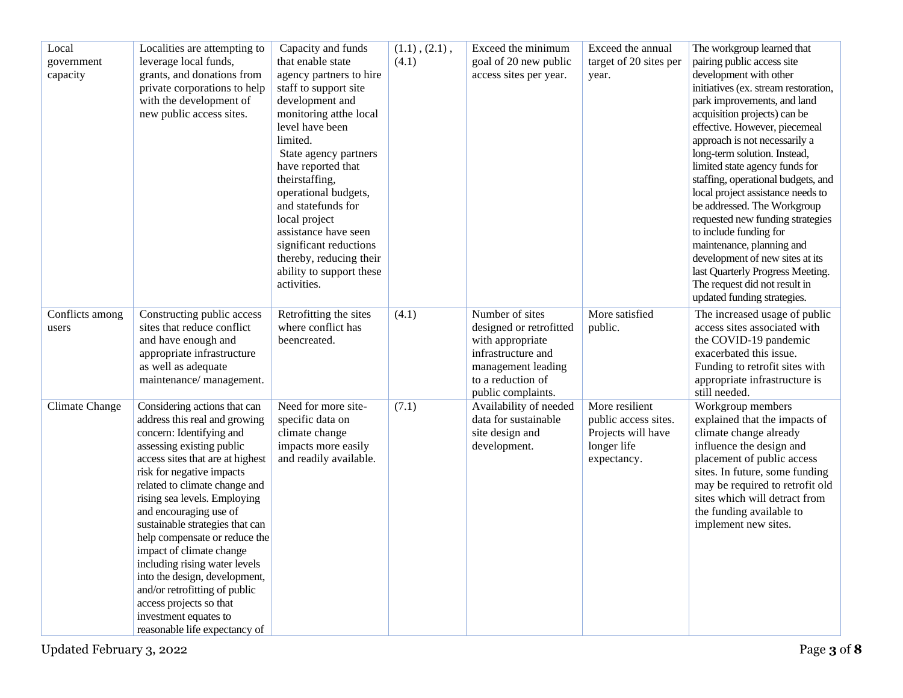| Local           | Localities are attempting to                              | Capacity and funds                   | $(1.1)$ , $(2.1)$ , | Exceed the minimum                      | Exceed the annual                          | The workgroup learned that                                           |
|-----------------|-----------------------------------------------------------|--------------------------------------|---------------------|-----------------------------------------|--------------------------------------------|----------------------------------------------------------------------|
| government      | leverage local funds,                                     | that enable state                    | (4.1)               | goal of 20 new public                   | target of 20 sites per                     | pairing public access site                                           |
| capacity        | grants, and donations from                                | agency partners to hire              |                     | access sites per year.                  | year.                                      | development with other                                               |
|                 | private corporations to help                              | staff to support site                |                     |                                         |                                            | initiatives (ex. stream restoration,                                 |
|                 | with the development of                                   | development and                      |                     |                                         |                                            | park improvements, and land                                          |
|                 | new public access sites.                                  | monitoring atthe local               |                     |                                         |                                            | acquisition projects) can be                                         |
|                 |                                                           | level have been                      |                     |                                         |                                            | effective. However, piecemeal                                        |
|                 |                                                           | limited.                             |                     |                                         |                                            | approach is not necessarily a                                        |
|                 |                                                           | State agency partners                |                     |                                         |                                            | long-term solution. Instead,                                         |
|                 |                                                           | have reported that<br>theirstaffing, |                     |                                         |                                            | limited state agency funds for<br>staffing, operational budgets, and |
|                 |                                                           | operational budgets,                 |                     |                                         |                                            | local project assistance needs to                                    |
|                 |                                                           | and statefunds for                   |                     |                                         |                                            | be addressed. The Workgroup                                          |
|                 |                                                           | local project                        |                     |                                         |                                            | requested new funding strategies                                     |
|                 |                                                           | assistance have seen                 |                     |                                         |                                            | to include funding for                                               |
|                 |                                                           | significant reductions               |                     |                                         |                                            | maintenance, planning and                                            |
|                 |                                                           | thereby, reducing their              |                     |                                         |                                            | development of new sites at its                                      |
|                 |                                                           | ability to support these             |                     |                                         |                                            | last Quarterly Progress Meeting.                                     |
|                 |                                                           | activities.                          |                     |                                         |                                            | The request did not result in                                        |
|                 |                                                           |                                      |                     |                                         |                                            | updated funding strategies.                                          |
| Conflicts among | Constructing public access                                | Retrofitting the sites               | (4.1)               | Number of sites                         | More satisfied                             | The increased usage of public                                        |
| users           | sites that reduce conflict                                | where conflict has                   |                     | designed or retrofitted                 | public.                                    | access sites associated with                                         |
|                 | and have enough and                                       | beencreated.                         |                     | with appropriate                        |                                            | the COVID-19 pandemic                                                |
|                 | appropriate infrastructure                                |                                      |                     | infrastructure and                      |                                            | exacerbated this issue.                                              |
|                 | as well as adequate                                       |                                      |                     | management leading                      |                                            | Funding to retrofit sites with                                       |
|                 | maintenance/management.                                   |                                      |                     | to a reduction of                       |                                            | appropriate infrastructure is                                        |
|                 |                                                           |                                      |                     | public complaints.                      |                                            | still needed.                                                        |
| Climate Change  | Considering actions that can                              | Need for more site-                  | (7.1)               | Availability of needed                  | More resilient                             | Workgroup members                                                    |
|                 | address this real and growing<br>concern: Identifying and | specific data on<br>climate change   |                     | data for sustainable<br>site design and | public access sites.<br>Projects will have | explained that the impacts of<br>climate change already              |
|                 | assessing existing public                                 | impacts more easily                  |                     | development.                            | longer life                                | influence the design and                                             |
|                 | access sites that are at highest                          | and readily available.               |                     |                                         | expectancy.                                | placement of public access                                           |
|                 | risk for negative impacts                                 |                                      |                     |                                         |                                            | sites. In future, some funding                                       |
|                 | related to climate change and                             |                                      |                     |                                         |                                            | may be required to retrofit old                                      |
|                 | rising sea levels. Employing                              |                                      |                     |                                         |                                            | sites which will detract from                                        |
|                 | and encouraging use of                                    |                                      |                     |                                         |                                            | the funding available to                                             |
|                 | sustainable strategies that can                           |                                      |                     |                                         |                                            | implement new sites.                                                 |
|                 | help compensate or reduce the                             |                                      |                     |                                         |                                            |                                                                      |
|                 | impact of climate change                                  |                                      |                     |                                         |                                            |                                                                      |
|                 | including rising water levels                             |                                      |                     |                                         |                                            |                                                                      |
|                 | into the design, development,                             |                                      |                     |                                         |                                            |                                                                      |
|                 | and/or retrofitting of public                             |                                      |                     |                                         |                                            |                                                                      |
|                 | access projects so that                                   |                                      |                     |                                         |                                            |                                                                      |
|                 | investment equates to                                     |                                      |                     |                                         |                                            |                                                                      |
|                 | reasonable life expectancy of                             |                                      |                     |                                         |                                            |                                                                      |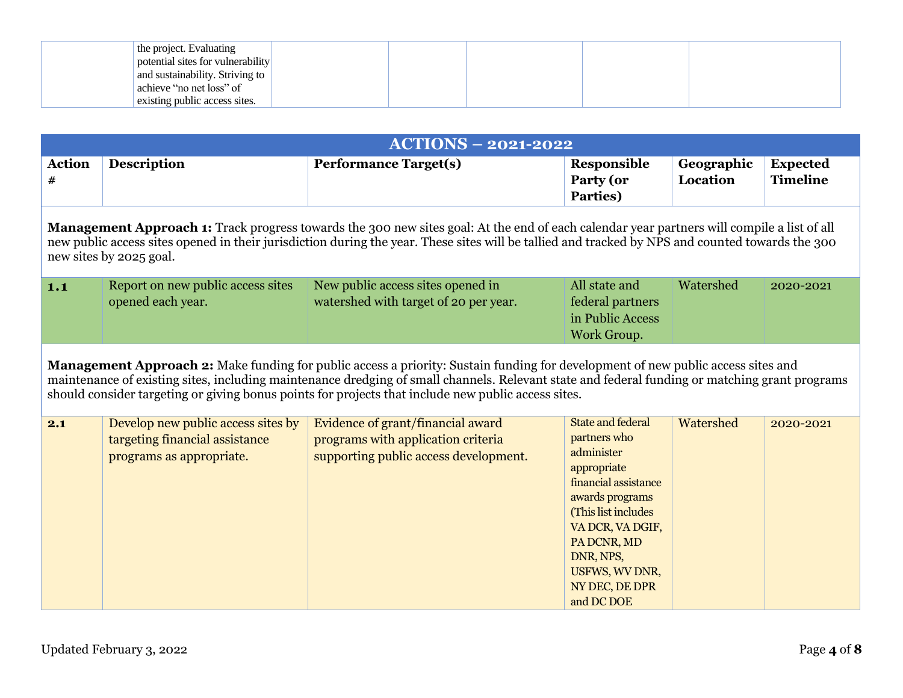| the project. Evaluating           |  |  |  |
|-----------------------------------|--|--|--|
| potential sites for vulnerability |  |  |  |
| and sustainability. Striving to   |  |  |  |
| achieve "no net loss" of          |  |  |  |
| existing public access sites.     |  |  |  |

|                    |                                                                                                                                                                                                                                                                                                                                  | <b>ACTIONS - 2021-2022</b>                                                                                                                                                                                                                                                                                                                                                                |                                                                                                                                                                                                                                           |                        |                                    |  |  |  |  |
|--------------------|----------------------------------------------------------------------------------------------------------------------------------------------------------------------------------------------------------------------------------------------------------------------------------------------------------------------------------|-------------------------------------------------------------------------------------------------------------------------------------------------------------------------------------------------------------------------------------------------------------------------------------------------------------------------------------------------------------------------------------------|-------------------------------------------------------------------------------------------------------------------------------------------------------------------------------------------------------------------------------------------|------------------------|------------------------------------|--|--|--|--|
| <b>Action</b><br># | <b>Description</b>                                                                                                                                                                                                                                                                                                               | <b>Performance Target(s)</b>                                                                                                                                                                                                                                                                                                                                                              | Responsible<br>Party (or<br>Parties)                                                                                                                                                                                                      | Geographic<br>Location | <b>Expected</b><br><b>Timeline</b> |  |  |  |  |
|                    | <b>Management Approach 1:</b> Track progress towards the 300 new sites goal: At the end of each calendar year partners will compile a list of all<br>new public access sites opened in their jurisdiction during the year. These sites will be tallied and tracked by NPS and counted towards the 300<br>new sites by 2025 goal. |                                                                                                                                                                                                                                                                                                                                                                                           |                                                                                                                                                                                                                                           |                        |                                    |  |  |  |  |
| 1.1                | Report on new public access sites<br>opened each year.                                                                                                                                                                                                                                                                           | New public access sites opened in<br>watershed with target of 20 per year.                                                                                                                                                                                                                                                                                                                | All state and<br>federal partners<br>in Public Access<br>Work Group.                                                                                                                                                                      | Watershed              | 2020-2021                          |  |  |  |  |
|                    |                                                                                                                                                                                                                                                                                                                                  | Management Approach 2: Make funding for public access a priority: Sustain funding for development of new public access sites and<br>maintenance of existing sites, including maintenance dredging of small channels. Relevant state and federal funding or matching grant programs<br>should consider targeting or giving bonus points for projects that include new public access sites. |                                                                                                                                                                                                                                           |                        |                                    |  |  |  |  |
| 2.1                | Develop new public access sites by<br>targeting financial assistance<br>programs as appropriate.                                                                                                                                                                                                                                 | Evidence of grant/financial award<br>programs with application criteria<br>supporting public access development.                                                                                                                                                                                                                                                                          | <b>State and federal</b><br>partners who<br>administer<br>appropriate<br>financial assistance<br>awards programs<br>(This list includes<br>VA DCR, VA DGIF,<br>PA DCNR, MD<br>DNR, NPS,<br>USFWS, WV DNR,<br>NY DEC, DE DPR<br>and DC DOE | Watershed              | 2020-2021                          |  |  |  |  |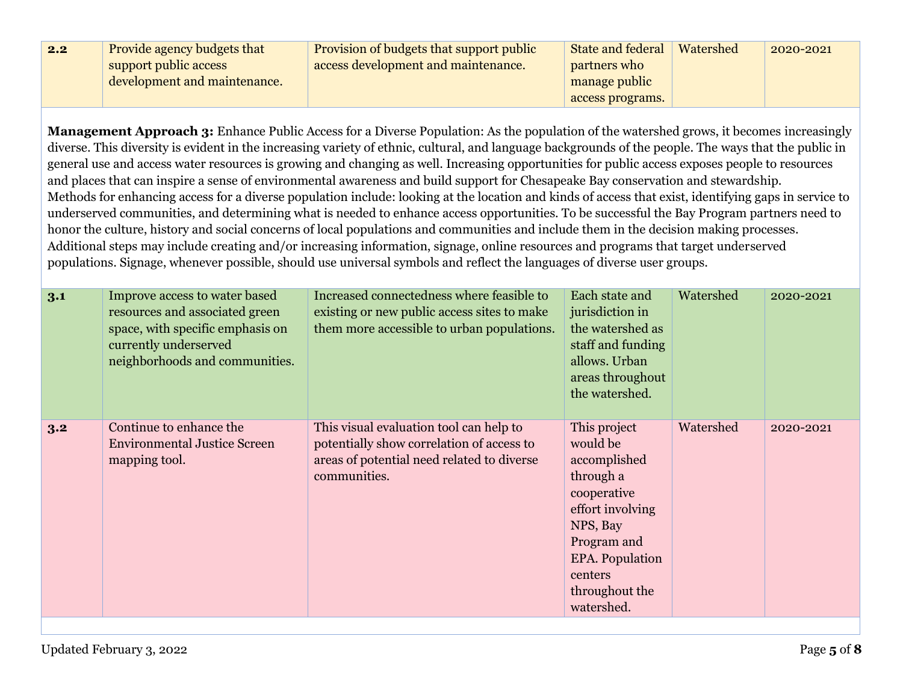| 2.2 | Provide agency budgets that  | <b>Provision of budgets that support public</b> | <b>State and federal</b> | Watershed | 2020-2021 |
|-----|------------------------------|-------------------------------------------------|--------------------------|-----------|-----------|
|     | support public access        | access development and maintenance.             | partners who             |           |           |
|     | development and maintenance. |                                                 | manage public            |           |           |
|     |                              |                                                 | access programs.         |           |           |

**Management Approach 3:** Enhance Public Access for a Diverse Population: As the population of the watershed grows, it becomes increasingly diverse. This diversity is evident in the increasing variety of ethnic, cultural, and language backgrounds of the people. The ways that the public in general use and access water resources is growing and changing as well. Increasing opportunities for public access exposes people to resources and places that can inspire a sense of environmental awareness and build support for Chesapeake Bay conservation and stewardship. Methods for enhancing access for a diverse population include: looking at the location and kinds of access that exist, identifying gaps in service to underserved communities, and determining what is needed to enhance access opportunities. To be successful the Bay Program partners need to honor the culture, history and social concerns of local populations and communities and include them in the decision making processes. Additional steps may include creating and/or increasing information, signage, online resources and programs that target underserved populations. Signage, whenever possible, should use universal symbols and reflect the languages of diverse user groups.

| 3.1 | Improve access to water based<br>resources and associated green<br>space, with specific emphasis on<br>currently underserved<br>neighborhoods and communities. | Increased connectedness where feasible to<br>existing or new public access sites to make<br>them more accessible to urban populations.             | Each state and<br>jurisdiction in<br>the watershed as<br>staff and funding<br>allows. Urban<br>areas throughout<br>the watershed.                                                        | Watershed | 2020-2021 |
|-----|----------------------------------------------------------------------------------------------------------------------------------------------------------------|----------------------------------------------------------------------------------------------------------------------------------------------------|------------------------------------------------------------------------------------------------------------------------------------------------------------------------------------------|-----------|-----------|
| 3.2 | Continue to enhance the<br><b>Environmental Justice Screen</b><br>mapping tool.                                                                                | This visual evaluation tool can help to<br>potentially show correlation of access to<br>areas of potential need related to diverse<br>communities. | This project<br>would be<br>accomplished<br>through a<br>cooperative<br>effort involving<br>NPS, Bay<br>Program and<br><b>EPA.</b> Population<br>centers<br>throughout the<br>watershed. | Watershed | 2020-2021 |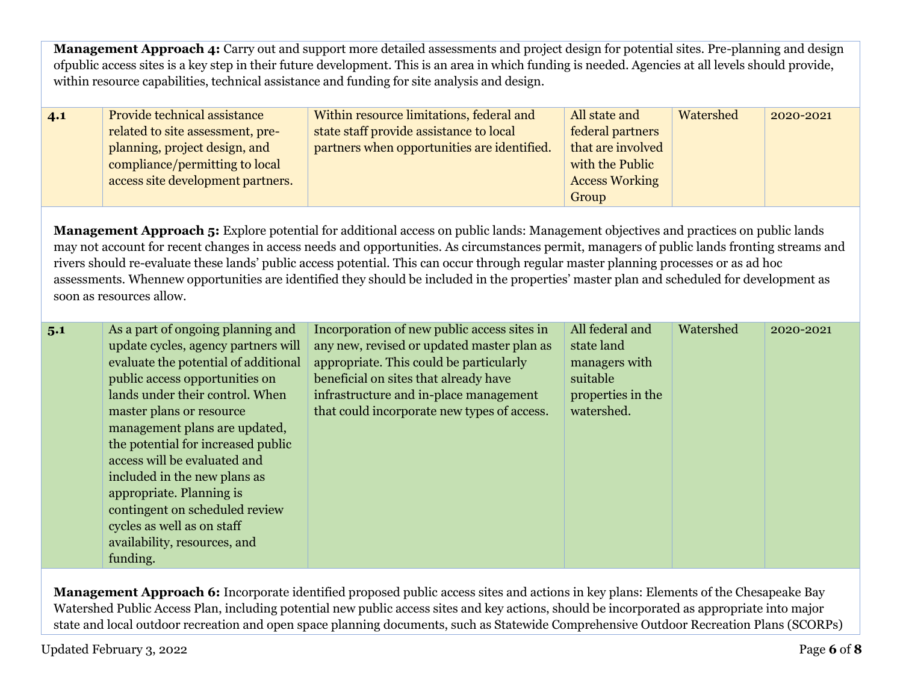**Management Approach 4:** Carry out and support more detailed assessments and project design for potential sites. Pre-planning and design ofpublic access sites is a key step in their future development. This is an area in which funding is needed. Agencies at all levels should provide, within resource capabilities, technical assistance and funding for site analysis and design.

| 4.1 | Provide technical assistance      | Within resource limitations, federal and    | All state and         | Watershed | 2020-2021 |
|-----|-----------------------------------|---------------------------------------------|-----------------------|-----------|-----------|
|     | related to site assessment, pre-  | state staff provide assistance to local     | federal partners      |           |           |
|     | planning, project design, and     | partners when opportunities are identified. | that are involved     |           |           |
|     | compliance/permitting to local    |                                             | with the Public       |           |           |
|     | access site development partners. |                                             | <b>Access Working</b> |           |           |
|     |                                   |                                             | Group                 |           |           |

**Management Approach 5:** Explore potential for additional access on public lands: Management objectives and practices on public lands may not account for recent changes in access needs and opportunities. As circumstances permit, managers of public lands fronting streams and rivers should re-evaluate these lands' public access potential. This can occur through regular master planning processes or as ad hoc assessments. Whennew opportunities are identified they should be included in the properties' master plan and scheduled for development as soon as resources allow.

| 5.1 | As a part of ongoing planning and<br>update cycles, agency partners will<br>evaluate the potential of additional<br>public access opportunities on<br>lands under their control. When<br>master plans or resource<br>management plans are updated, | Incorporation of new public access sites in<br>any new, revised or updated master plan as<br>appropriate. This could be particularly<br>beneficial on sites that already have<br>infrastructure and in-place management<br>that could incorporate new types of access. | All federal and<br>state land<br>managers with<br>suitable<br>properties in the<br>watershed. | Watershed | 2020-2021 |
|-----|----------------------------------------------------------------------------------------------------------------------------------------------------------------------------------------------------------------------------------------------------|------------------------------------------------------------------------------------------------------------------------------------------------------------------------------------------------------------------------------------------------------------------------|-----------------------------------------------------------------------------------------------|-----------|-----------|
|     | the potential for increased public<br>access will be evaluated and<br>included in the new plans as<br>appropriate. Planning is<br>contingent on scheduled review<br>cycles as well as on staff<br>availability, resources, and<br>funding.         |                                                                                                                                                                                                                                                                        |                                                                                               |           |           |

**Management Approach 6:** Incorporate identified proposed public access sites and actions in key plans: Elements of the Chesapeake Bay Watershed Public Access Plan, including potential new public access sites and key actions, should be incorporated as appropriate into major state and local outdoor recreation and open space planning documents, such as Statewide Comprehensive Outdoor Recreation Plans (SCORPs)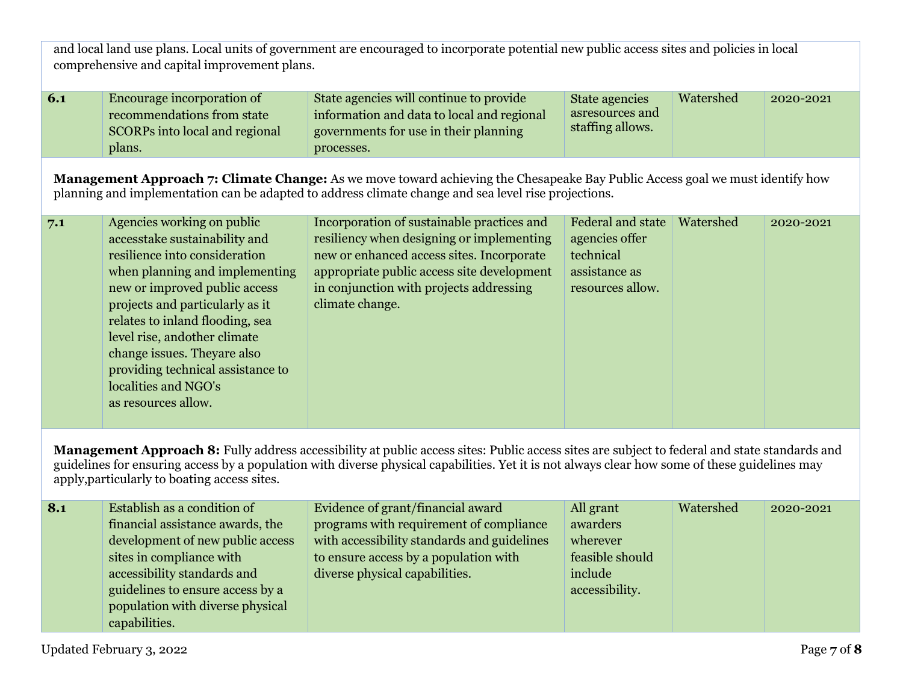and local land use plans. Local units of government are encouraged to incorporate potential new public access sites and policies in local comprehensive and capital improvement plans.

| 6.1 | Encourage incorporation of     | State agencies will continue to provide    | State agencies   | Watershed | 2020-2021 |
|-----|--------------------------------|--------------------------------------------|------------------|-----------|-----------|
|     | recommendations from state     | information and data to local and regional | asresources and  |           |           |
|     | SCORPs into local and regional | governments for use in their planning      | staffing allows. |           |           |
|     | plans.                         | processes.                                 |                  |           |           |

**Management Approach 7: Climate Change:** As we move toward achieving the Chesapeake Bay Public Access goal we must identify how planning and implementation can be adapted to address climate change and sea level rise projections.

| 7.1 | Agencies working on public<br>accesstake sustainability and<br>resilience into consideration<br>when planning and implementing<br>new or improved public access<br>projects and particularly as it<br>relates to inland flooding, sea<br>level rise, and other climate<br>change issues. They are also<br>providing technical assistance to<br>localities and NGO's<br>as resources allow. | Incorporation of sustainable practices and<br>resiliency when designing or implementing<br>new or enhanced access sites. Incorporate<br>appropriate public access site development<br>in conjunction with projects addressing<br>climate change. | Federal and state<br>agencies offer<br>technical<br>assistance as<br>resources allow. | Watershed | 2020-2021 |
|-----|--------------------------------------------------------------------------------------------------------------------------------------------------------------------------------------------------------------------------------------------------------------------------------------------------------------------------------------------------------------------------------------------|--------------------------------------------------------------------------------------------------------------------------------------------------------------------------------------------------------------------------------------------------|---------------------------------------------------------------------------------------|-----------|-----------|
|-----|--------------------------------------------------------------------------------------------------------------------------------------------------------------------------------------------------------------------------------------------------------------------------------------------------------------------------------------------------------------------------------------------|--------------------------------------------------------------------------------------------------------------------------------------------------------------------------------------------------------------------------------------------------|---------------------------------------------------------------------------------------|-----------|-----------|

**Management Approach 8:** Fully address accessibility at public access sites: Public access sites are subject to federal and state standards and guidelines for ensuring access by a population with diverse physical capabilities. Yet it is not always clear how some of these guidelines may apply,particularly to boating access sites.

| 8.1 | Establish as a condition of      | Evidence of grant/financial award           | All grant       | Watershed | 2020-2021 |
|-----|----------------------------------|---------------------------------------------|-----------------|-----------|-----------|
|     | financial assistance awards, the | programs with requirement of compliance     | awarders        |           |           |
|     | development of new public access | with accessibility standards and guidelines | wherever        |           |           |
|     | sites in compliance with         | to ensure access by a population with       | feasible should |           |           |
|     | accessibility standards and      | diverse physical capabilities.              | include         |           |           |
|     | guidelines to ensure access by a |                                             | accessibility.  |           |           |
|     | population with diverse physical |                                             |                 |           |           |
|     | capabilities.                    |                                             |                 |           |           |